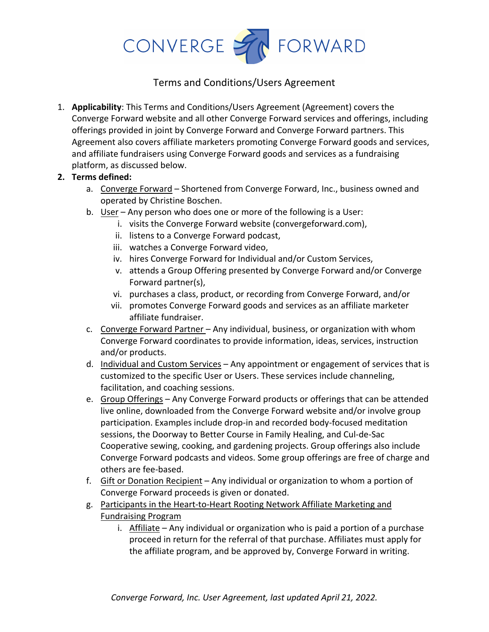

## Terms and Conditions/Users Agreement

1. **Applicability**: This Terms and Conditions/Users Agreement (Agreement) covers the Converge Forward website and all other Converge Forward services and offerings, including offerings provided in joint by Converge Forward and Converge Forward partners. This Agreement also covers affiliate marketers promoting Converge Forward goods and services, and affiliate fundraisers using Converge Forward goods and services as a fundraising platform, as discussed below.

## **2. Terms defined:**

- a. Converge Forward Shortened from Converge Forward, Inc., business owned and operated by Christine Boschen.
- b. User Any person who does one or more of the following is a User:
	- i. visits the Converge Forward website (convergeforward.com),
	- ii. listens to a Converge Forward podcast,
	- iii. watches a Converge Forward video,
	- iv. hires Converge Forward for Individual and/or Custom Services,
	- v. attends a Group Offering presented by Converge Forward and/or Converge Forward partner(s),
	- vi. purchases a class, product, or recording from Converge Forward, and/or
	- vii. promotes Converge Forward goods and services as an affiliate marketer affiliate fundraiser.
- c. Converge Forward Partner Any individual, business, or organization with whom Converge Forward coordinates to provide information, ideas, services, instruction and/or products.
- d. Individual and Custom Services Any appointment or engagement of services that is customized to the specific User or Users. These services include channeling, facilitation, and coaching sessions.
- e. Group Offerings Any Converge Forward products or offerings that can be attended live online, downloaded from the Converge Forward website and/or involve group participation. Examples include drop-in and recorded body-focused meditation sessions, the Doorway to Better Course in Family Healing, and Cul-de-Sac Cooperative sewing, cooking, and gardening projects. Group offerings also include Converge Forward podcasts and videos. Some group offerings are free of charge and others are fee-based.
- f. Gift or Donation Recipient Any individual or organization to whom a portion of Converge Forward proceeds is given or donated.
- g. Participants in the Heart-to-Heart Rooting Network Affiliate Marketing and Fundraising Program
	- i. Affiliate Any individual or organization who is paid a portion of a purchase proceed in return for the referral of that purchase. Affiliates must apply for the affiliate program, and be approved by, Converge Forward in writing.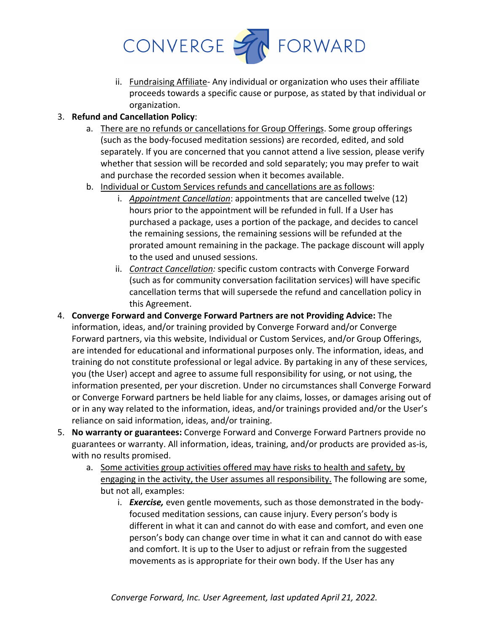

- ii. Fundraising Affiliate- Any individual or organization who uses their affiliate proceeds towards a specific cause or purpose, as stated by that individual or organization.
- 3. **Refund and Cancellation Policy**:
	- a. There are no refunds or cancellations for Group Offerings. Some group offerings (such as the body-focused meditation sessions) are recorded, edited, and sold separately. If you are concerned that you cannot attend a live session, please verify whether that session will be recorded and sold separately; you may prefer to wait and purchase the recorded session when it becomes available.
	- b. Individual or Custom Services refunds and cancellations are as follows:
		- i. *Appointment Cancellation*: appointments that are cancelled twelve (12) hours prior to the appointment will be refunded in full. If a User has purchased a package, uses a portion of the package, and decides to cancel the remaining sessions, the remaining sessions will be refunded at the prorated amount remaining in the package. The package discount will apply to the used and unused sessions.
		- ii. *Contract Cancellation:* specific custom contracts with Converge Forward (such as for community conversation facilitation services) will have specific cancellation terms that will supersede the refund and cancellation policy in this Agreement.
- 4. **Converge Forward and Converge Forward Partners are not Providing Advice:** The information, ideas, and/or training provided by Converge Forward and/or Converge Forward partners, via this website, Individual or Custom Services, and/or Group Offerings, are intended for educational and informational purposes only. The information, ideas, and training do not constitute professional or legal advice. By partaking in any of these services, you (the User) accept and agree to assume full responsibility for using, or not using, the information presented, per your discretion. Under no circumstances shall Converge Forward or Converge Forward partners be held liable for any claims, losses, or damages arising out of or in any way related to the information, ideas, and/or trainings provided and/or the User's reliance on said information, ideas, and/or training.
- 5. **No warranty or guarantees:** Converge Forward and Converge Forward Partners provide no guarantees or warranty. All information, ideas, training, and/or products are provided as-is, with no results promised.
	- a. Some activities group activities offered may have risks to health and safety, by engaging in the activity, the User assumes all responsibility. The following are some, but not all, examples:
		- i. *Exercise,* even gentle movements, such as those demonstrated in the bodyfocused meditation sessions, can cause injury. Every person's body is different in what it can and cannot do with ease and comfort, and even one person's body can change over time in what it can and cannot do with ease and comfort. It is up to the User to adjust or refrain from the suggested movements as is appropriate for their own body. If the User has any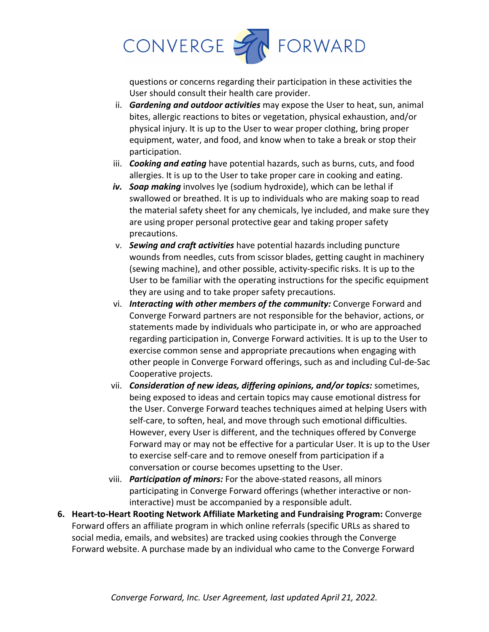

questions or concerns regarding their participation in these activities the User should consult their health care provider.

- ii. *Gardening and outdoor activities* may expose the User to heat, sun, animal bites, allergic reactions to bites or vegetation, physical exhaustion, and/or physical injury. It is up to the User to wear proper clothing, bring proper equipment, water, and food, and know when to take a break or stop their participation.
- iii. *Cooking and eating* have potential hazards, such as burns, cuts, and food allergies. It is up to the User to take proper care in cooking and eating.
- *iv. Soap making* involves lye (sodium hydroxide), which can be lethal if swallowed or breathed. It is up to individuals who are making soap to read the material safety sheet for any chemicals, lye included, and make sure they are using proper personal protective gear and taking proper safety precautions.
- v. *Sewing and craft activities* have potential hazards including puncture wounds from needles, cuts from scissor blades, getting caught in machinery (sewing machine), and other possible, activity-specific risks. It is up to the User to be familiar with the operating instructions for the specific equipment they are using and to take proper safety precautions.
- vi. *Interacting with other members of the community:* Converge Forward and Converge Forward partners are not responsible for the behavior, actions, or statements made by individuals who participate in, or who are approached regarding participation in, Converge Forward activities. It is up to the User to exercise common sense and appropriate precautions when engaging with other people in Converge Forward offerings, such as and including Cul-de-Sac Cooperative projects.
- vii. *Consideration of new ideas, differing opinions, and/or topics:* sometimes, being exposed to ideas and certain topics may cause emotional distress for the User. Converge Forward teaches techniques aimed at helping Users with self-care, to soften, heal, and move through such emotional difficulties. However, every User is different, and the techniques offered by Converge Forward may or may not be effective for a particular User. It is up to the User to exercise self-care and to remove oneself from participation if a conversation or course becomes upsetting to the User.
- viii. *Participation of minors:* For the above-stated reasons, all minors participating in Converge Forward offerings (whether interactive or noninteractive) must be accompanied by a responsible adult.
- **6. Heart-to-Heart Rooting Network Affiliate Marketing and Fundraising Program:** Converge Forward offers an affiliate program in which online referrals (specific URLs as shared to social media, emails, and websites) are tracked using cookies through the Converge Forward website. A purchase made by an individual who came to the Converge Forward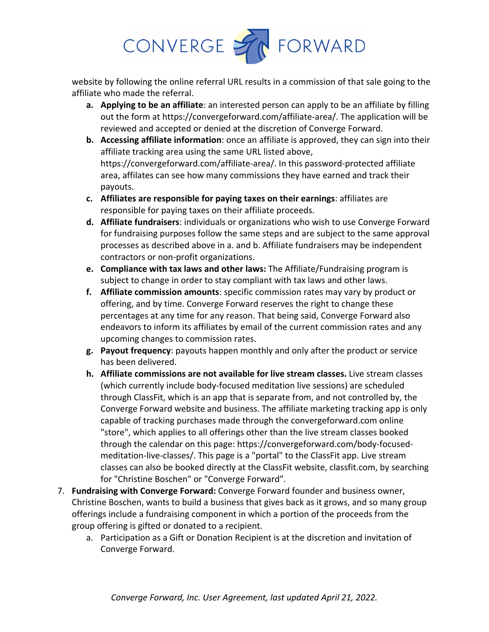

website by following the online referral URL results in a commission of that sale going to the affiliate who made the referral.

- **a. Applying to be an affiliate**: an interested person can apply to be an affiliate by filling out the form at https://convergeforward.com/affiliate-area/. The application will be reviewed and accepted or denied at the discretion of Converge Forward.
- **b. Accessing affiliate information**: once an affiliate is approved, they can sign into their affiliate tracking area using the same URL listed above, https://convergeforward.com/affiliate-area/. In this password-protected affiliate area, affilates can see how many commissions they have earned and track their payouts.
- **c. Affiliates are responsible for paying taxes on their earnings**: affiliates are responsible for paying taxes on their affiliate proceeds.
- **d. Affiliate fundraisers**: individuals or organizations who wish to use Converge Forward for fundraising purposes follow the same steps and are subject to the same approval processes as described above in a. and b. Affiliate fundraisers may be independent contractors or non-profit organizations.
- **e. Compliance with tax laws and other laws:** The Affiliate/Fundraising program is subject to change in order to stay compliant with tax laws and other laws.
- **f. Affiliate commission amounts**: specific commission rates may vary by product or offering, and by time. Converge Forward reserves the right to change these percentages at any time for any reason. That being said, Converge Forward also endeavors to inform its affiliates by email of the current commission rates and any upcoming changes to commission rates.
- **g. Payout frequency**: payouts happen monthly and only after the product or service has been delivered.
- **h. Affiliate commissions are not available for live stream classes.** Live stream classes (which currently include body-focused meditation live sessions) are scheduled through ClassFit, which is an app that is separate from, and not controlled by, the Converge Forward website and business. The affiliate marketing tracking app is only capable of tracking purchases made through the convergeforward.com online "store", which applies to all offerings other than the live stream classes booked through the calendar on this page: https://convergeforward.com/body-focusedmeditation-live-classes/. This page is a "portal" to the ClassFit app. Live stream classes can also be booked directly at the ClassFit website, classfit.com, by searching for "Christine Boschen" or "Converge Forward".
- 7. **Fundraising with Converge Forward:** Converge Forward founder and business owner, Christine Boschen, wants to build a business that gives back as it grows, and so many group offerings include a fundraising component in which a portion of the proceeds from the group offering is gifted or donated to a recipient.
	- a. Participation as a Gift or Donation Recipient is at the discretion and invitation of Converge Forward.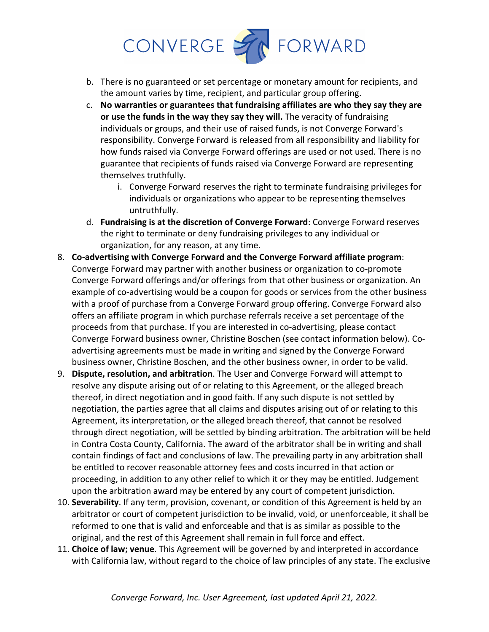

- b. There is no guaranteed or set percentage or monetary amount for recipients, and the amount varies by time, recipient, and particular group offering.
- c. **No warranties or guarantees that fundraising affiliates are who they say they are or use the funds in the way they say they will.** The veracity of fundraising individuals or groups, and their use of raised funds, is not Converge Forward's responsibility. Converge Forward is released from all responsibility and liability for how funds raised via Converge Forward offerings are used or not used. There is no guarantee that recipients of funds raised via Converge Forward are representing themselves truthfully.
	- i. Converge Forward reserves the right to terminate fundraising privileges for individuals or organizations who appear to be representing themselves untruthfully.
- d. **Fundraising is at the discretion of Converge Forward**: Converge Forward reserves the right to terminate or deny fundraising privileges to any individual or organization, for any reason, at any time.
- 8. **Co-advertising with Converge Forward and the Converge Forward affiliate program**: Converge Forward may partner with another business or organization to co-promote Converge Forward offerings and/or offerings from that other business or organization. An example of co-advertising would be a coupon for goods or services from the other business with a proof of purchase from a Converge Forward group offering. Converge Forward also offers an affiliate program in which purchase referrals receive a set percentage of the proceeds from that purchase. If you are interested in co-advertising, please contact Converge Forward business owner, Christine Boschen (see contact information below). Coadvertising agreements must be made in writing and signed by the Converge Forward business owner, Christine Boschen, and the other business owner, in order to be valid.
- 9. **Dispute, resolution, and arbitration**. The User and Converge Forward will attempt to resolve any dispute arising out of or relating to this Agreement, or the alleged breach thereof, in direct negotiation and in good faith. If any such dispute is not settled by negotiation, the parties agree that all claims and disputes arising out of or relating to this Agreement, its interpretation, or the alleged breach thereof, that cannot be resolved through direct negotiation, will be settled by binding arbitration. The arbitration will be held in Contra Costa County, California. The award of the arbitrator shall be in writing and shall contain findings of fact and conclusions of law. The prevailing party in any arbitration shall be entitled to recover reasonable attorney fees and costs incurred in that action or proceeding, in addition to any other relief to which it or they may be entitled. Judgement upon the arbitration award may be entered by any court of competent jurisdiction.
- 10. **Severability**. If any term, provision, covenant, or condition of this Agreement is held by an arbitrator or court of competent jurisdiction to be invalid, void, or unenforceable, it shall be reformed to one that is valid and enforceable and that is as similar as possible to the original, and the rest of this Agreement shall remain in full force and effect.
- 11. **Choice of law; venue**. This Agreement will be governed by and interpreted in accordance with California law, without regard to the choice of law principles of any state. The exclusive